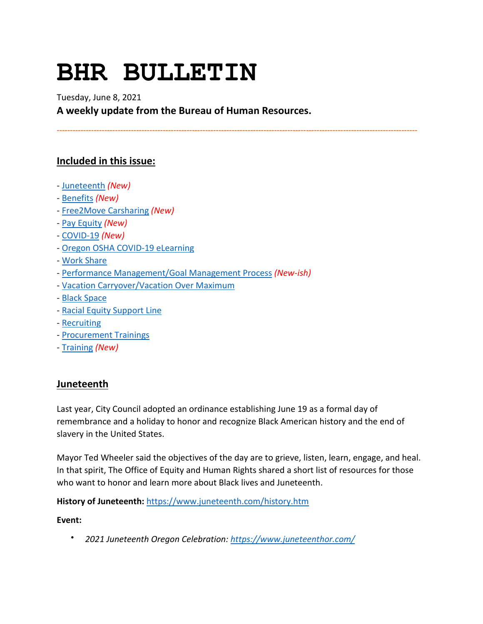# **BHR BULLETIN**

# Tuesday, June 8, 2021 **A weekly update from the Bureau of Human Resources.**

**----------------------------------------------------------------------------------------------------------------------------------------**

# **Included in this issue:**

- [Juneteenth](#page-0-0) *(New)*
- [Benefits](#page-1-0) *(New)*
- [Free2Move Carsharing](#page-3-0) *(New)*
- [Pay Equity](#page-3-1) *(New)*
- [COVID-19](#page-4-0) *(New)*
- [Oregon OSHA COVID-19 eLearning](#page-6-0)
- [Work Share](#page-6-1)
- [Performance Management/Goal Management Process](#page-7-0) *(New-ish)*
- [Vacation Carryover/Vacation Over Maximum](#page-8-0)
- [Black Space](#page-8-1)
- [Racial Equity Support Line](#page-8-2)
- [Recruiting](#page-9-0)
- [Procurement Trainings](#page-9-1)
- [Training](#page-9-2) *(New)*

# <span id="page-0-0"></span>**Juneteenth**

Last year, City Council adopted an ordinance establishing June 19 as a formal day of remembrance and a holiday to honor and recognize Black American history and the end of slavery in the United States.

Mayor Ted Wheeler said the objectives of the day are to grieve, listen, learn, engage, and heal. In that spirit, The Office of Equity and Human Rights shared a short list of resources for those who want to honor and learn more about Black lives and Juneteenth.

**History of Juneteenth:** <https://www.juneteenth.com/history.htm>

#### **Event:**

• *2021 Juneteenth Oregon Celebration:<https://www.juneteenthor.com/>*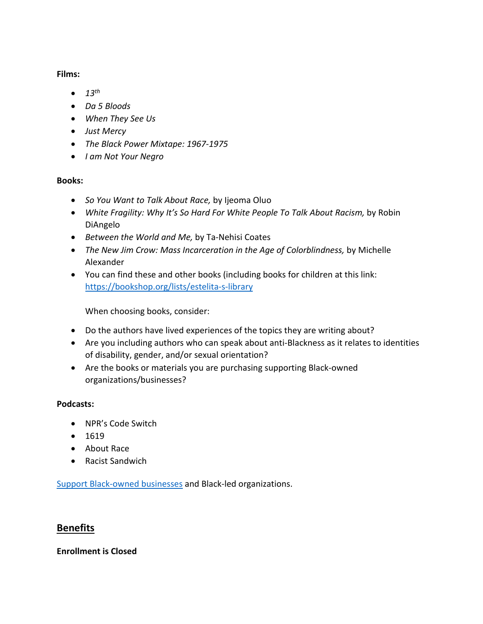**Films:**

- *13th*
- *Da 5 Bloods*
- *When They See Us*
- *Just Mercy*
- *The Black Power Mixtape: 1967-1975*
- *I am Not Your Negro*

#### **Books:**

- *So You Want to Talk About Race,* by Ijeoma Oluo
- *White Fragility: Why It's So Hard For White People To Talk About Racism,* by Robin DiAngelo
- *Between the World and Me,* by Ta-Nehisi Coates
- *The New Jim Crow: Mass Incarceration in the Age of Colorblindness,* by Michelle Alexander
- You can find these and other books (including books for children at this link: <https://bookshop.org/lists/estelita-s-library>

When choosing books, consider:

- Do the authors have lived experiences of the topics they are writing about?
- Are you including authors who can speak about anti-Blackness as it relates to identities of disability, gender, and/or sexual orientation?
- Are the books or materials you are purchasing supporting Black-owned organizations/businesses?

#### **Podcasts:**

- NPR's Code Switch
- 1619
- About Race
- Racist Sandwich

[Support Black-owned businesses](https://mercatuspdx.com/stillopen/#!directory/map) and Black-led organizations.

# <span id="page-1-0"></span>**Benefits**

# **Enrollment is Closed**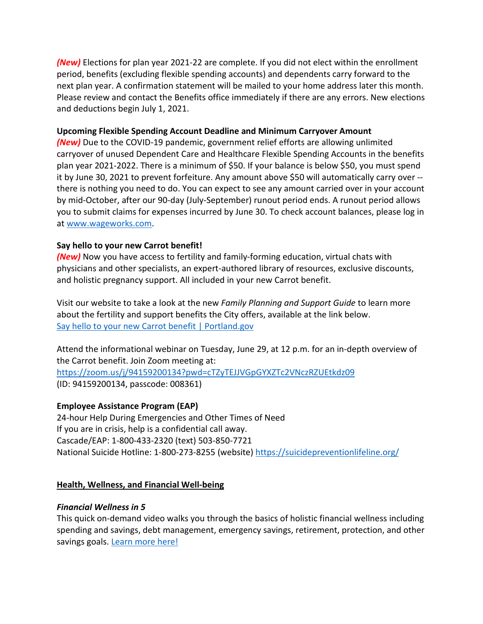*(New)* Elections for plan year 2021-22 are complete. If you did not elect within the enrollment period, benefits (excluding flexible spending accounts) and dependents carry forward to the next plan year. A confirmation statement will be mailed to your home address later this month. Please review and contact the Benefits office immediately if there are any errors. New elections and deductions begin July 1, 2021.

#### **Upcoming Flexible Spending Account Deadline and Minimum Carryover Amount**

*(New)* Due to the COVID-19 pandemic, government relief efforts are allowing unlimited carryover of unused Dependent Care and Healthcare Flexible Spending Accounts in the benefits plan year 2021-2022. There is a minimum of \$50. If your balance is below \$50, you must spend it by June 30, 2021 to prevent forfeiture. Any amount above \$50 will automatically carry over - there is nothing you need to do. You can expect to see any amount carried over in your account by mid-October, after our 90-day (July-September) runout period ends. A runout period allows you to submit claims for expenses incurred by June 30. To check account balances, please log in at [www.wageworks.com.](http://www.wageworks.com/)

# **Say hello to your new Carrot benefit!**

*(New)* Now you have access to fertility and family-forming education, virtual chats with physicians and other specialists, an expert-authored library of resources, exclusive discounts, and holistic pregnancy support. All included in your new Carrot benefit.

Visit our website to take a look at the new *Family Planning and Support Guide* to learn more about the fertility and support benefits the City offers, available at the link below. [Say hello to your new Carrot benefit | Portland.gov](https://www.portland.gov/bhr/benefit-offerings/news/2021/6/7/say-hello-your-new-carrot-benefit)

Attend the informational webinar on Tuesday, June 29, at 12 p.m. for an in-depth overview of the Carrot benefit. Join Zoom meeting at: <https://zoom.us/j/94159200134?pwd=cTZyTEJJVGpGYXZTc2VNczRZUEtkdz09>

(ID: 94159200134, passcode: 008361)

# **Employee Assistance Program (EAP)**

24-hour Help During Emergencies and Other Times of Need If you are in crisis, help is a confidential call away. Cascade/EAP: 1-800-433-2320 (text) 503-850-7721 National Suicide Hotline: 1-800-273-8255 (website)<https://suicidepreventionlifeline.org/>

# **Health, Wellness, and Financial Well-being**

# *Financial Wellness in 5*

This quick on-demand video walks you through the basics of holistic financial wellness including spending and savings, debt management, emergency savings, retirement, protection, and other savings goals. [Learn more here!](https://www.voya.com/page/financial-wellness-5)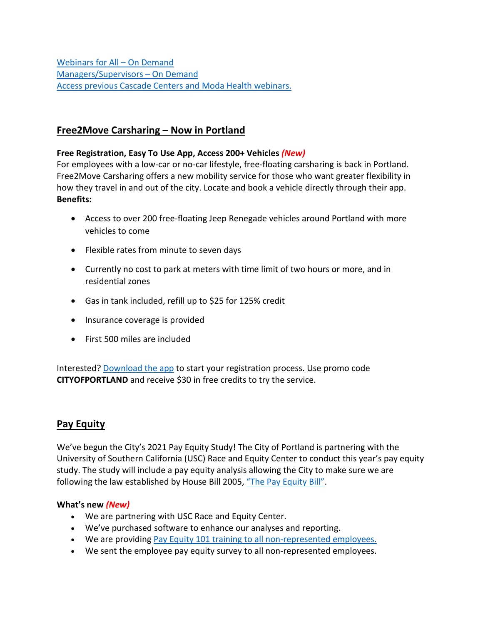[Webinars for All –](https://cascade-gateway.lifeadvantages.net/module.php/core/loginuserpass.php?AuthState=_1a3a852f693adc187cf20e6ab784129a7005390dae%3Ahttps%3A%2F%2Fcascade-gateway.lifeadvantages.net%2Fsaml2%2Fidp%2FSSOService.php%3Fspentityid%3Dhttps%253A%252F%252Fsaml-01.personaladvantage.com%252Fsp%26cookieTime%3D1615310144%26RelayState%3Dss%253Amem%253A1d8e1b0ec14601a8153ab04497bc5fd0f0d50a5926308558f40d35a41079c199) On Demand [Managers/Supervisors –](https://www.portlandoregon.gov/bhr/article/750308) On Deman[d](https://www.portlandoregon.gov/bhr/article/750308) [Access previous Cascade Centers and Moda Health webinars.](https://www.portlandoregon.gov/bhr/index.cfm?&c=79368)

# <span id="page-3-0"></span>**Free2Move Carsharing – Now in Portland**

#### **Free Registration, Easy To Use App, Access 200+ Vehicles** *(New)*

For employees with a low-car or no-car lifestyle, free-floating carsharing is back in Portland. Free2Move Carsharing offers a new mobility service for those who want greater flexibility in how they travel in and out of the city. Locate and book a vehicle directly through their app. **Benefits:**

- Access to over 200 free-floating Jeep Renegade vehicles around Portland with more vehicles to come
- Flexible rates from minute to seven days
- Currently no cost to park at meters with time limit of two hours or more, and in residential zones
- Gas in tank included, refill up to \$25 for 125% credit
- Insurance coverage is provided
- First 500 miles are included

Interested[? Download the app](https://fr2.mv/cityofportland) to start your registration process. Use promo code **CITYOFPORTLAND** and receive \$30 in free credits to try the service.

# <span id="page-3-1"></span>**Pay Equity**

We've begun the City's 2021 Pay Equity Study! The City of Portland is partnering with the University of Southern California (USC) Race and Equity Center to conduct this year's pay equity study. The study will include a pay equity analysis allowing the City to make sure we are following the law established by House Bill 2005, ["The Pay Equity Bill".](https://olis.leg.state.or.us/liz/2017R1/Downloads/MeasureDocument/HB2005)

#### **What's new** *(New)*

- We are partnering with USC Race and Equity Center.
- We've purchased software to enhance our analyses and reporting.
- We are providing [Pay Equity 101 training to all non-represented employees.](https://cityofport.plateau.com/learning/user/common/viewItemDetails.do?OWASP_CSRFTOKEN=BEQE-STV4-KS8U-JCA9-2VH3-4EA7-A8Q4-IVF7&componentID=29033&componentTypeID=ILT&fromSF=Y&revisionDate=1620957780000&menuGroup=Learning&menuItem=Cur&fromDeepLink=true&hideItemDetailsBackLink=true)
- We sent the employee pay equity survey to all non-represented employees.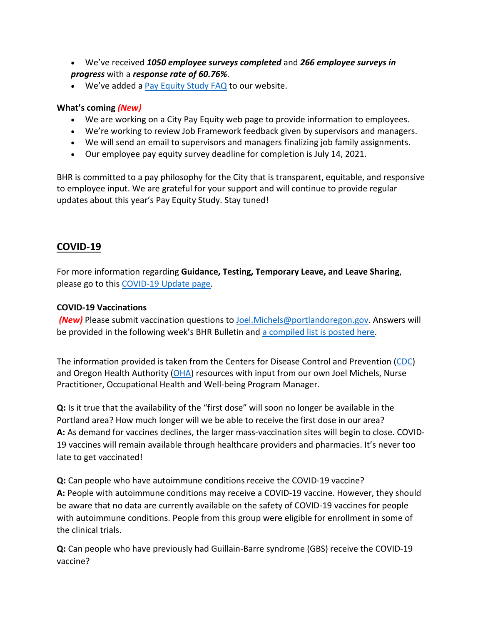- We've received *1050 employee surveys completed* and *266 employee surveys in progress* with a *response rate of 60.76%*.
- We've added a [Pay Equity Study FAQ](https://www.portlandoregon.gov/bhr/81530) to our website.

#### **What's coming** *(New)*

- We are working on a City Pay Equity web page to provide information to employees.
- We're working to review Job Framework feedback given by supervisors and managers.
- We will send an email to supervisors and managers finalizing job family assignments.
- Our employee pay equity survey deadline for completion is July 14, 2021.

BHR is committed to a pay philosophy for the City that is transparent, equitable, and responsive to employee input. We are grateful for your support and will continue to provide regular updates about this year's Pay Equity Study. Stay tuned!

# <span id="page-4-0"></span>**COVID-19**

For more information regarding **Guidance, Testing, Temporary Leave, and Leave Sharing**, please go to this [COVID-19 Update page.](https://www.portlandoregon.gov/bhr/article/779927)

#### **COVID-19 Vaccinations**

**(New)** Please submit vaccination questions to **Joel.Michels@portlandoregon.gov.** Answers will be provided in the following week's BHR Bulletin an[d a compiled list is posted here.](https://www.portlandoregon.gov/bhr/article/784275)

The information provided is taken from the Centers for Disease Control and Prevention [\(CDC\)](https://www.cdc.gov/coronavirus/2019-ncov/vaccines/index.html) and Oregon Health Authority [\(OHA\)](https://covidvaccine.oregon.gov/) resources with input from our own Joel Michels, Nurse Practitioner, Occupational Health and Well-being Program Manager.

**Q:** Is it true that the availability of the "first dose" will soon no longer be available in the Portland area? How much longer will we be able to receive the first dose in our area? **A:** As demand for vaccines declines, the larger mass-vaccination sites will begin to close. COVID-19 vaccines will remain available through healthcare providers and pharmacies. It's never too late to get vaccinated!

**Q:** Can people who have autoimmune conditions receive the COVID-19 vaccine? **A:** People with autoimmune conditions may receive a COVID-19 vaccine. However, they should be aware that no data are currently available on the safety of COVID-19 vaccines for people with autoimmune conditions. People from this group were eligible for enrollment in some of the clinical trials.

**Q:** Can people who have previously had Guillain-Barre syndrome (GBS) receive the COVID-19 vaccine?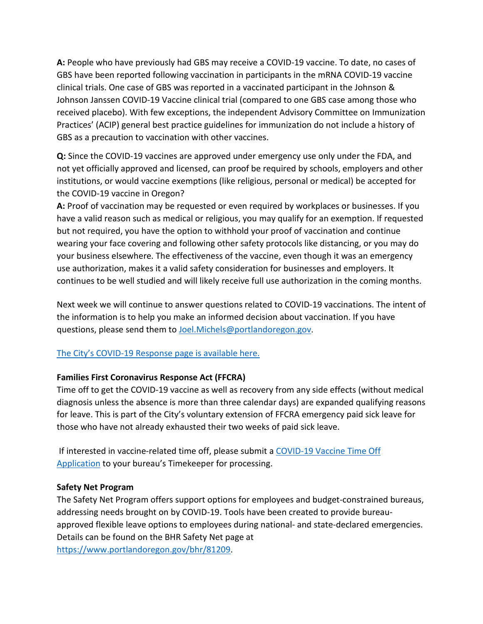**A:** People who have previously had GBS may receive a COVID-19 vaccine. To date, no cases of GBS have been reported following vaccination in participants in the mRNA COVID-19 vaccine clinical trials. One case of GBS was reported in a vaccinated participant in the Johnson & Johnson Janssen COVID-19 Vaccine clinical trial (compared to one GBS case among those who received placebo). With few exceptions, the independent Advisory Committee on Immunization Practices' (ACIP) general best practice guidelines for immunization do not include a history of GBS as a precaution to vaccination with other vaccines.

**Q:** Since the COVID-19 vaccines are approved under emergency use only under the FDA, and not yet officially approved and licensed, can proof be required by schools, employers and other institutions, or would vaccine exemptions (like religious, personal or medical) be accepted for the COVID-19 vaccine in Oregon?

**A:** Proof of vaccination may be requested or even required by workplaces or businesses. If you have a valid reason such as medical or religious, you may qualify for an exemption. If requested but not required, you have the option to withhold your proof of vaccination and continue wearing your face covering and following other safety protocols like distancing, or you may do your business elsewhere. The effectiveness of the vaccine, even though it was an emergency use authorization, makes it a valid safety consideration for businesses and employers. It continues to be well studied and will likely receive full use authorization in the coming months.

Next week we will continue to answer questions related to COVID-19 vaccinations. The intent of the information is to help you make an informed decision about vaccination. If you have questions, please send them to [Joel.Michels@portlandoregon.gov.](mailto:Joel.Michels@portlandoregon.gov)

# [The City's COVID-19 Response page is available here.](https://www.portlandoregon.gov/bhr/index.cfm?&c=81055)

# **Families First Coronavirus Response Act (FFCRA)**

Time off to get the COVID-19 vaccine as well as recovery from any side effects (without medical diagnosis unless the absence is more than three calendar days) are expanded qualifying reasons for leave. This is part of the City's voluntary extension of FFCRA emergency paid sick leave for those who have not already exhausted their two weeks of paid sick leave.

If interested in vaccine-related time off, please submit a [COVID-19 Vaccine](https://www.portlandoregon.gov/bhr/article/782926) Time Off [Application](https://www.portlandoregon.gov/bhr/article/782926) to your bureau's Timekeeper for processing.

#### **Safety Net Program**

The Safety Net Program offers support options for employees and budget-constrained bureaus, addressing needs brought on by COVID-19. Tools have been created to provide bureauapproved flexible leave options to employees during national- and state-declared emergencies. Details can be found on the BHR Safety Net page at [https://www.portlandoregon.gov/bhr/81209.](https://www.portlandoregon.gov/bhr/81209)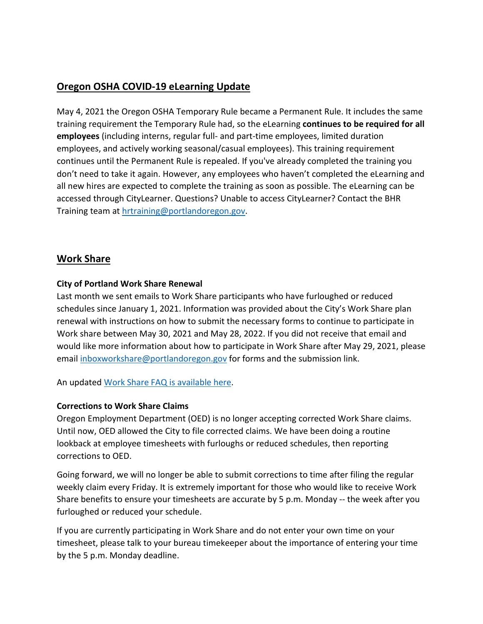# <span id="page-6-0"></span>**Oregon OSHA COVID-19 eLearning Update**

May 4, 2021 the Oregon OSHA Temporary Rule became a Permanent Rule. It includes the same training requirement the Temporary Rule had, so the eLearning **continues to be required for all employees** (including interns, regular full- and part-time employees, limited duration employees, and actively working seasonal/casual employees). This training requirement continues until the Permanent Rule is repealed. If you've already completed the training you don't need to take it again. However, any employees who haven't completed the eLearning and all new hires are expected to complete the training as soon as possible. The eLearning can be accessed through CityLearner. Questions? Unable to access CityLearner? Contact the BHR Training team at [hrtraining@portlandoregon.gov.](mailto:hrtraining@portlandoregon.gov)

# <span id="page-6-1"></span>**Work Share**

# **City of Portland Work Share Renewal**

Last month we sent emails to Work Share participants who have furloughed or reduced schedules since January 1, 2021. Information was provided about the City's Work Share plan renewal with instructions on how to submit the necessary forms to continue to participate in Work share between May 30, 2021 and May 28, 2022. If you did not receive that email and would like more information about how to participate in Work Share after May 29, 2021, please email [inboxworkshare@portlandoregon.gov](mailto:inboxworkshare@portlandoregon.gov) for forms and the submission link.

An updated [Work Share FAQ is available here.](https://www.portlandoregon.gov/bhr/article/761976)

# **Corrections to Work Share Claims**

Oregon Employment Department (OED) is no longer accepting corrected Work Share claims. Until now, OED allowed the City to file corrected claims. We have been doing a routine lookback at employee timesheets with furloughs or reduced schedules, then reporting corrections to OED.

Going forward, we will no longer be able to submit corrections to time after filing the regular weekly claim every Friday. It is extremely important for those who would like to receive Work Share benefits to ensure your timesheets are accurate by 5 p.m. Monday -- the week after you furloughed or reduced your schedule.

If you are currently participating in Work Share and do not enter your own time on your timesheet, please talk to your bureau timekeeper about the importance of entering your time by the 5 p.m. Monday deadline.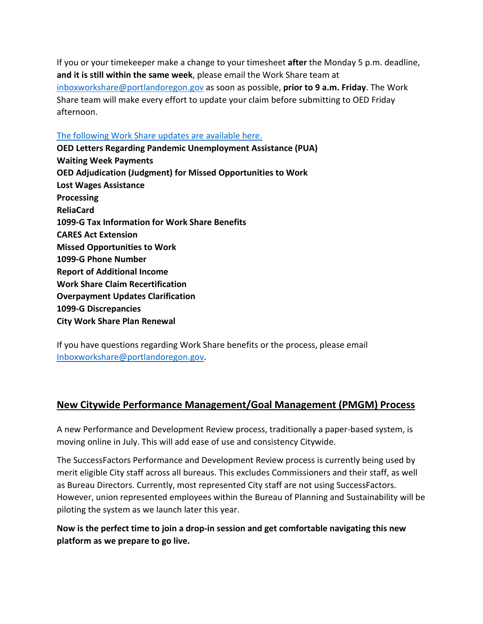If you or your timekeeper make a change to your timesheet **after** the Monday 5 p.m. deadline, **and it is still within the same week**, please email the Work Share team at [inboxworkshare@portlandoregon.gov](mailto:inboxworkshare@portlandoregon.gov) as soon as possible, **prior to 9 a.m. Friday**. The Work Share team will make every effort to update your claim before submitting to OED Friday afternoon.

#### [The following Work Share updates are available here.](https://www.portlandoregon.gov/bhr/article/782660)

**OED Letters Regarding Pandemic Unemployment Assistance (PUA) Waiting Week Payments OED Adjudication (Judgment) for Missed Opportunities to Work Lost Wages Assistance Processing ReliaCard 1099-G Tax Information for Work Share Benefits CARES Act Extension Missed Opportunities to Work 1099-G Phone Number Report of Additional Income Work Share Claim Recertification Overpayment Updates Clarification 1099-G Discrepancies City Work Share Plan Renewal**

If you have questions regarding Work Share benefits or the process, please email [Inboxworkshare@portlandoregon.gov.](mailto:Inboxworkshare@portlandoregon.gov)

# <span id="page-7-0"></span>**New Citywide Performance Management/Goal Management (PMGM) Process**

A new Performance and Development Review process, traditionally a paper-based system, is moving online in July. This will add ease of use and consistency Citywide.

The SuccessFactors Performance and Development Review process is currently being used by merit eligible City staff across all bureaus. This excludes Commissioners and their staff, as well as Bureau Directors. Currently, most represented City staff are not using SuccessFactors. However, union represented employees within the Bureau of Planning and Sustainability will be piloting the system as we launch later this year.

# **Now is the perfect time to join a drop-in session and get comfortable navigating this new platform as we prepare to go live.**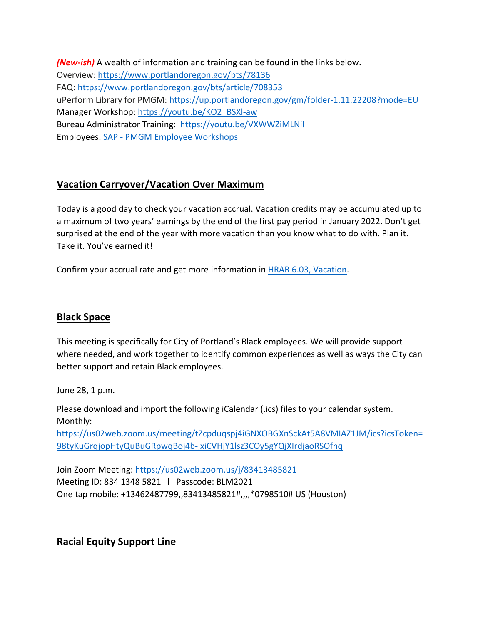*(New-ish)* A wealth of information and training can be found in the links below. Overview:<https://www.portlandoregon.gov/bts/78136> FAQ:<https://www.portlandoregon.gov/bts/article/708353> uPerform Library for PMGM:<https://up.portlandoregon.gov/gm/folder-1.11.22208?mode=EU> Manager Workshop: [https://youtu.be/KO2\\_BSXl-aw](https://youtu.be/KO2_BSXl-aw) Bureau Administrator Training: <https://youtu.be/VXWWZiMLNiI> Employees: SAP - [PMGM Employee Workshops](https://performancemanager4.successfactors.com/sf/learning?destUrl=https%3a%2f%2fcityofport%2eplateau%2ecom%2flearning%2fuser%2fdeeplink%5fredirect%2ejsp%3flinkId%3dITEM%5fDETAILS%26componentID%3d16006%26componentTypeID%3dILT%26revisionDate%3d1581725460000%26fromSF%3dY&company=cityofport)

# <span id="page-8-0"></span>**Vacation Carryover/Vacation Over Maximum**

Today is a good day to check your vacation accrual. Vacation credits may be accumulated up to a maximum of two years' earnings by the end of the first pay period in January 2022. Don't get surprised at the end of the year with more vacation than you know what to do with. Plan it. Take it. You've earned it!

Confirm your accrual rate and get more information in [HRAR 6.03, Vacation.](https://www.portlandoregon.gov/citycode/article/12413)

# <span id="page-8-1"></span>**Black Space**

This meeting is specifically for City of Portland's Black employees. We will provide support where needed, and work together to identify common experiences as well as ways the City can better support and retain Black employees.

June 28, 1 p.m.

Please download and import the following iCalendar (.ics) files to your calendar system. Monthly:

[https://us02web.zoom.us/meeting/tZcpduqspj4iGNXOBGXnSckAt5A8VMIAZ1JM/ics?icsToken=](https://us02web.zoom.us/meeting/tZcpduqspj4iGNXOBGXnSckAt5A8VMIAZ1JM/ics?icsToken=98tyKuGrqjopHtyQuBuGRpwqBoj4b-jxiCVHjY1lsz3COy5gYQjXIrdjaoRSOfnq) [98tyKuGrqjopHtyQuBuGRpwqBoj4b-jxiCVHjY1lsz3COy5gYQjXIrdjaoRSOfnq](https://us02web.zoom.us/meeting/tZcpduqspj4iGNXOBGXnSckAt5A8VMIAZ1JM/ics?icsToken=98tyKuGrqjopHtyQuBuGRpwqBoj4b-jxiCVHjY1lsz3COy5gYQjXIrdjaoRSOfnq)

Join Zoom Meeting:<https://us02web.zoom.us/j/83413485821> Meeting ID: 834 1348 5821 l Passcode: BLM2021 One tap mobile: +13462487799,,83413485821#,,,,\*0798510# US (Houston)

# <span id="page-8-2"></span>**Racial Equity Support Line**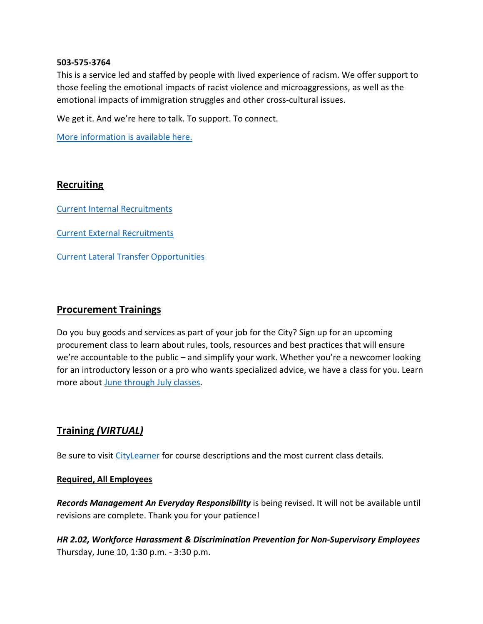#### **503-575-3764**

This is a service led and staffed by people with lived experience of racism. We offer support to those feeling the emotional impacts of racist violence and microaggressions, as well as the emotional impacts of immigration struggles and other cross-cultural issues.

We get it. And we're here to talk. To support. To connect.

[More information is available here.](https://www.linesforlife.org/racial-equity-support-line/?fbclid=IwAR189nJCJbrA3RHn8r_cUZ29iBier77c2vNBIjGUew7aTDyc1DaC0SrDa7Q)

#### <span id="page-9-0"></span>**Recruiting**

[Current Internal Recruitments](https://www.governmentjobs.com/careers/portlandor/promotionaljobs)

[Current External Recruitments](https://www.governmentjobs.com/careers/portlandor?)

[Current Lateral Transfer Opportunities](https://www.governmentjobs.com/careers/portlandor/transferjobs)

#### <span id="page-9-1"></span>**Procurement Trainings**

Do you buy goods and services as part of your job for the City? Sign up for an upcoming procurement class to learn about rules, tools, resources and best practices that will ensure we're accountable to the public – and simplify your work. Whether you're a newcomer looking for an introductory lesson or a pro who wants specialized advice, we have a class for you. Learn more about [June through July classes.](https://www.portlandoregon.gov/brfs/index.cfm?&a=780678)

# <span id="page-9-2"></span>**Training** *(VIRTUAL)*

Be sure to visit [CityLearner](https://www.portlandoregon.gov/bhr/article/446111) for course descriptions and the most current class details.

#### **Required, All Employees**

*Records Management An Everyday Responsibility* is being revised. It will not be available until revisions are complete. Thank you for your patience!

*HR 2.02, Workforce Harassment & Discrimination Prevention for Non-Supervisory Employees* Thursday, June 10, 1:30 p.m. - 3:30 p.m.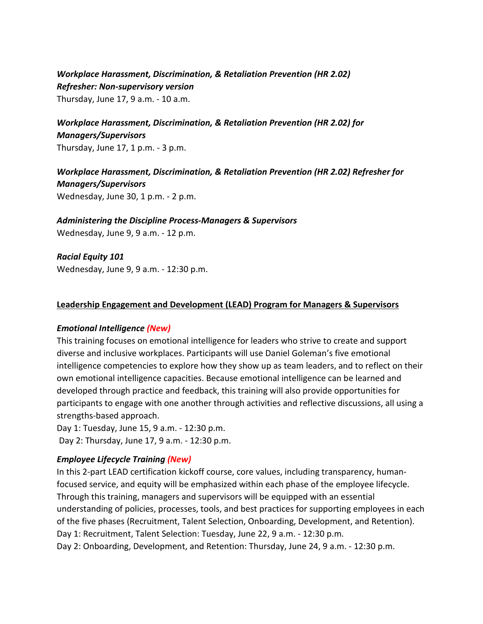# *Workplace Harassment, Discrimination, & Retaliation Prevention (HR 2.02) Refresher: Non-supervisory version*

Thursday, June 17, 9 a.m. - 10 a.m.

# *Workplace Harassment, Discrimination, & Retaliation Prevention (HR 2.02) for Managers/Supervisors*

Thursday, June 17, 1 p.m. - 3 p.m.

# *Workplace Harassment, Discrimination, & Retaliation Prevention (HR 2.02) Refresher for Managers/Supervisors*  Wednesday, June 30, 1 p.m. - 2 p.m.

#### *Administering the Discipline Process-Managers & Supervisors*

Wednesday, June 9, 9 a.m. - 12 p.m.

*Racial Equity 101* Wednesday, June 9, 9 a.m. - 12:30 p.m.

#### **Leadership Engagement and Development (LEAD) Program for Managers & Supervisors**

#### *Emotional Intelligence (New)*

This training focuses on emotional intelligence for leaders who strive to create and support diverse and inclusive workplaces. Participants will use Daniel Goleman's five emotional intelligence competencies to explore how they show up as team leaders, and to reflect on their own emotional intelligence capacities. Because emotional intelligence can be learned and developed through practice and feedback, this training will also provide opportunities for participants to engage with one another through activities and reflective discussions, all using a strengths-based approach.

Day 1: Tuesday, June 15, 9 a.m. - 12:30 p.m. Day 2: Thursday, June 17, 9 a.m. - 12:30 p.m.

# *Employee Lifecycle Training (New)*

In this 2-part LEAD certification kickoff course, core values, including transparency, humanfocused service, and equity will be emphasized within each phase of the employee lifecycle. Through this training, managers and supervisors will be equipped with an essential understanding of policies, processes, tools, and best practices for supporting employees in each of the five phases (Recruitment, Talent Selection, Onboarding, Development, and Retention). Day 1: Recruitment, Talent Selection: Tuesday, June 22, 9 a.m. - 12:30 p.m. Day 2: Onboarding, Development, and Retention: Thursday, June 24, 9 a.m. - 12:30 p.m.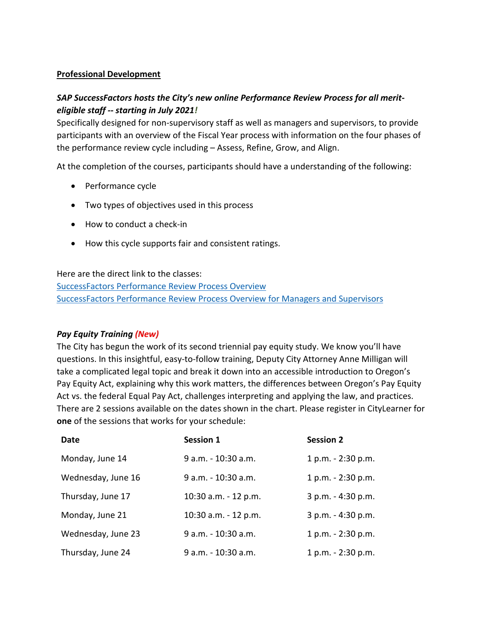#### **Professional Development**

# *SAP SuccessFactors hosts the City's new online Performance Review Process for all meriteligible staff -- starting in July 2021!*

Specifically designed for non-supervisory staff as well as managers and supervisors, to provide participants with an overview of the Fiscal Year process with information on the four phases of the performance review cycle including – Assess, Refine, Grow, and Align.

At the completion of the courses, participants should have a understanding of the following:

- Performance cycle
- Two types of objectives used in this process
- How to conduct a check-in
- How this cycle supports fair and consistent ratings.

Here are the direct link to the classes:

[SuccessFactors Performance Review Process Overview](https://performancemanager4.successfactors.com/sf/learning?destUrl=https%3a%2f%2fcityofport%2eplateau%2ecom%2flearning%2fuser%2fdeeplink%5fredirect%2ejsp%3flinkId%3dITEM%5fDETAILS%26componentID%3d29037%26componentTypeID%3dELRN%26revisionDate%3d1621295700000%26fromSF%3dY&company=cityofport) [SuccessFactors Performance Review Process Overview for Managers and Supervisors](https://performancemanager4.successfactors.com/sf/learning?destUrl=https%3a%2f%2fcityofport%2eplateau%2ecom%2flearning%2fuser%2fdeeplink%5fredirect%2ejsp%3flinkId%3dITEM%5fDETAILS%26componentID%3d29040%26componentTypeID%3dELRN%26revisionDate%3d1621298220000%26fromSF%3dY&company=cityofport)

#### *Pay Equity Training (New)*

The City has begun the work of its second triennial pay equity study. We know you'll have questions. In this insightful, easy-to-follow training, Deputy City Attorney Anne Milligan will take a complicated legal topic and break it down into an accessible introduction to Oregon's Pay Equity Act, explaining why this work matters, the differences between Oregon's Pay Equity Act vs. the federal Equal Pay Act, challenges interpreting and applying the law, and practices. There are 2 sessions available on the dates shown in the chart. Please register in CityLearner for **one** of the sessions that works for your schedule:

| Date               | <b>Session 1</b>     | <b>Session 2</b>   |
|--------------------|----------------------|--------------------|
| Monday, June 14    | 9 a.m. - 10:30 a.m.  | 1 p.m. - 2:30 p.m. |
| Wednesday, June 16 | 9 a.m. - 10:30 a.m.  | 1 p.m. - 2:30 p.m. |
| Thursday, June 17  | 10:30 a.m. - 12 p.m. | 3 p.m. - 4:30 p.m. |
| Monday, June 21    | 10:30 a.m. - 12 p.m. | 3 p.m. - 4:30 p.m. |
| Wednesday, June 23 | 9 a.m. - 10:30 a.m.  | 1 p.m. - 2:30 p.m. |
| Thursday, June 24  | 9 a.m. - 10:30 a.m.  | 1 p.m. - 2:30 p.m. |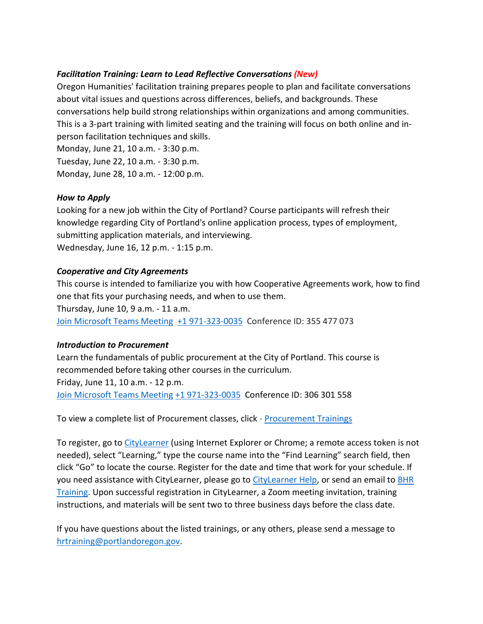# *Facilitation Training: Learn to Lead Reflective Conversations (New)*

Oregon Humanities' facilitation training prepares people to plan and facilitate conversations about vital issues and questions across differences, beliefs, and backgrounds. These conversations help build strong relationships within organizations and among communities. This is a 3-part training with limited seating and the training will focus on both online and inperson facilitation techniques and skills.

Monday, June 21, 10 a.m. - 3:30 p.m. Tuesday, June 22, 10 a.m. - 3:30 p.m. Monday, June 28, 10 a.m. - 12:00 p.m.

# *How to Apply*

Looking for a new job within the City of Portland? Course participants will refresh their knowledge regarding City of Portland's online application process, types of employment, submitting application materials, and interviewing. Wednesday, June 16, 12 p.m. - 1:15 p.m.

# *Cooperative and City Agreements*

This course is intended to familiarize you with how Cooperative Agreements work, how to find one that fits your purchasing needs, and when to use them.

Thursday, June 10, 9 a.m. - 11 a.m.

[Join Microsoft Teams Meeting](https://teams.microsoft.com/l/meetup-join/19%3ameeting_YTUwYjg0ODEtMTZiMS00ZmRlLThjODctZDE5NDdkNzg1ZTdh%40thread.v2/0?context=%7b%22Tid%22%3a%22636d7808-73c9-41a7-97aa-8c4733642141%22%2c%22Oid%22%3a%2286b2ae6e-2fe6-44ca-9974-4b60b2e2cd99%22%7d) [+1 971-323-0035](tel:+1%20971-323-0035,,355477073) Conference ID: 355 477 073

# *Introduction to Procurement*

Learn the fundamentals of public procurement at the City of Portland. This course is recommended before taking other courses in the curriculum. Friday, June 11, 10 a.m. - 12 p.m. [Join Microsoft Teams Meeting](https://teams.microsoft.com/l/meetup-join/19%3ameeting_NzEzMGM0ZDMtY2NlZC00ZmNjLWFlYzctOTA1ZTlmNzE1ZGY4%40thread.v2/0?context=%7b%22Tid%22%3a%22636d7808-73c9-41a7-97aa-8c4733642141%22%2c%22Oid%22%3a%2286b2ae6e-2fe6-44ca-9974-4b60b2e2cd99%22%7d) [+1 971-323-0035](tel:+1%20971-323-0035,,306301558) Conference ID: 306 301 558

To view a complete list of Procurement classes, click - Procurement Trainings

To register, go to [CityLearner](https://www.portlandoregon.gov/bhr/article/446111) (using Internet Explorer or Chrome; a remote access token is not needed), select "Learning," type the course name into the "Find Learning" search field, then click "Go" to locate the course. Register for the date and time that work for your schedule. If you need assistance with CityLearner, please go to [CityLearner Help,](https://www.portlandoregon.gov/bhr/69963) or send an email to [BHR](mailto:hrtraining@portlandoregon.gov)  [Training.](mailto:hrtraining@portlandoregon.gov) Upon successful registration in CityLearner, a Zoom meeting invitation, training instructions, and materials will be sent two to three business days before the class date.

If you have questions about the listed trainings, or any others, please send a message to [hrtraining@portlandoregon.gov.](mailto:hrtraining@portlandoregon.gov)